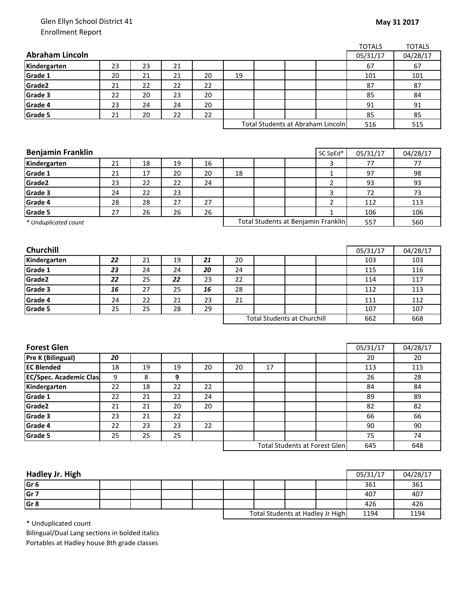## Glen Ellyn School District 41 Enrollment Report

|                               |    |    |    |    |                                     |    |                                    |                | <b>TOTALS</b> | <b>TOTALS</b> |
|-------------------------------|----|----|----|----|-------------------------------------|----|------------------------------------|----------------|---------------|---------------|
| <b>Abraham Lincoln</b>        |    |    |    |    |                                     |    |                                    |                | 05/31/17      | 04/28/17      |
| Kindergarten                  | 23 | 23 | 21 |    |                                     |    |                                    |                | 67            | 67            |
| Grade 1                       | 20 | 21 | 21 | 20 | 19                                  |    |                                    |                | 101           | 101           |
| Grade2                        | 21 | 22 | 22 | 22 |                                     |    |                                    |                | 87            | 87            |
| Grade 3                       | 22 | 20 | 23 | 20 |                                     |    |                                    |                | 85            | 84            |
| Grade 4                       | 23 | 24 | 24 | 20 |                                     |    |                                    |                | 91            | 91            |
| Grade 5                       | 21 | 20 | 22 | 22 |                                     |    |                                    |                | 85            | 85            |
|                               |    |    |    |    |                                     |    | Total Students at Abraham Lincoln  |                | 516           | 515           |
|                               |    |    |    |    |                                     |    |                                    |                |               |               |
|                               |    |    |    |    |                                     |    |                                    |                |               |               |
| <b>Benjamin Franklin</b>      |    |    |    |    |                                     |    |                                    | SC SpEd*       | 05/31/17      | 04/28/17      |
| Kindergarten                  | 21 | 18 | 19 | 16 |                                     |    |                                    | 3              | 77            | 77            |
| Grade 1                       | 21 | 17 | 20 | 20 | 18                                  |    |                                    | $\mathbf{1}$   | 97            | 98            |
| Grade2                        | 23 | 22 | 22 | 24 |                                     |    |                                    | $\overline{2}$ | 93            | 93            |
| Grade 3                       | 24 | 22 | 23 |    |                                     |    |                                    | 3              | 72            | 73            |
| Grade 4                       | 28 | 28 | 27 | 27 |                                     |    |                                    | $\overline{2}$ | 112           | 113           |
| Grade 5                       | 27 | 26 | 26 | 26 |                                     |    |                                    | $\mathbf{1}$   | 106           | 106           |
| * Unduplicated count          |    |    |    |    | Total Students at Benjamin Franklin |    |                                    |                | 557           | 560           |
|                               |    |    |    |    |                                     |    |                                    |                |               |               |
|                               |    |    |    |    |                                     |    |                                    |                |               |               |
| <b>Churchill</b>              |    |    |    |    |                                     |    |                                    |                | 05/31/17      | 04/28/17      |
| Kindergarten                  | 22 | 21 | 19 | 21 | 20                                  |    |                                    |                | 103           | 103           |
| Grade 1                       | 23 | 24 | 24 | 20 | 24                                  |    |                                    |                | 115           | 116           |
| Grade2                        | 22 | 25 | 22 | 23 | 22                                  |    |                                    |                | 114           | 117           |
| Grade 3                       | 16 | 27 | 25 | 16 | 28                                  |    |                                    |                | 112           | 113           |
| Grade 4                       | 24 | 22 | 21 | 23 | 21                                  |    |                                    |                | 111           | 112           |
| Grade 5                       | 25 | 25 | 28 | 29 |                                     |    |                                    |                | 107           | 107           |
|                               |    |    |    |    |                                     |    | <b>Total Students at Churchill</b> |                | 662           | 668           |
|                               |    |    |    |    |                                     |    |                                    |                |               |               |
|                               |    |    |    |    |                                     |    |                                    |                |               |               |
| <b>Forest Glen</b>            |    |    |    |    |                                     |    |                                    |                | 05/31/17      | 04/28/17      |
| Pre K (Bilingual)             | 20 |    |    |    |                                     |    |                                    |                | 20            | 20            |
| <b>EC Blended</b>             | 18 | 19 | 19 | 20 | 20                                  | 17 |                                    |                | 113           | 115           |
| <b>EC/Spec. Academic Clas</b> | 9  | 8  | 9  |    |                                     |    |                                    |                | 26            | 28            |
| Kindergarten                  | 22 | 18 | 22 | 22 |                                     |    |                                    |                | 84            | 84            |
| Grade 1                       | 22 | 21 | 22 | 24 |                                     |    |                                    |                | 89            | 89            |
| Grade2                        | 21 | 21 | 20 | 20 |                                     |    |                                    |                | 82            | 82            |
| Grade 3                       | 23 | 21 | 22 |    |                                     |    |                                    |                | 66            | 66            |
| Grade 4                       | 22 | 23 | 23 | 22 |                                     |    |                                    |                | 90            | 90            |
| Grade 5                       | 25 | 25 | 25 |    |                                     |    |                                    |                | 75            | 74            |
|                               |    |    |    |    |                                     |    | Total Students at Forest Glen      |                | 645           | 648           |

| Hadley Jr. High |  |  |                                  |  |      | 05/31/17 | 04/28/17 |
|-----------------|--|--|----------------------------------|--|------|----------|----------|
| Gr <sub>6</sub> |  |  |                                  |  |      | 361      | 361      |
| Gr <sub>7</sub> |  |  |                                  |  |      | 407      | 407      |
| Gr <sub>8</sub> |  |  |                                  |  |      | 426      | 426      |
|                 |  |  | Total Students at Hadley Jr High |  | 1194 | 1194     |          |

\* Unduplicated count

Bilingual/Dual Lang sections in bolded italics Portables at Hadley house 8th grade classes